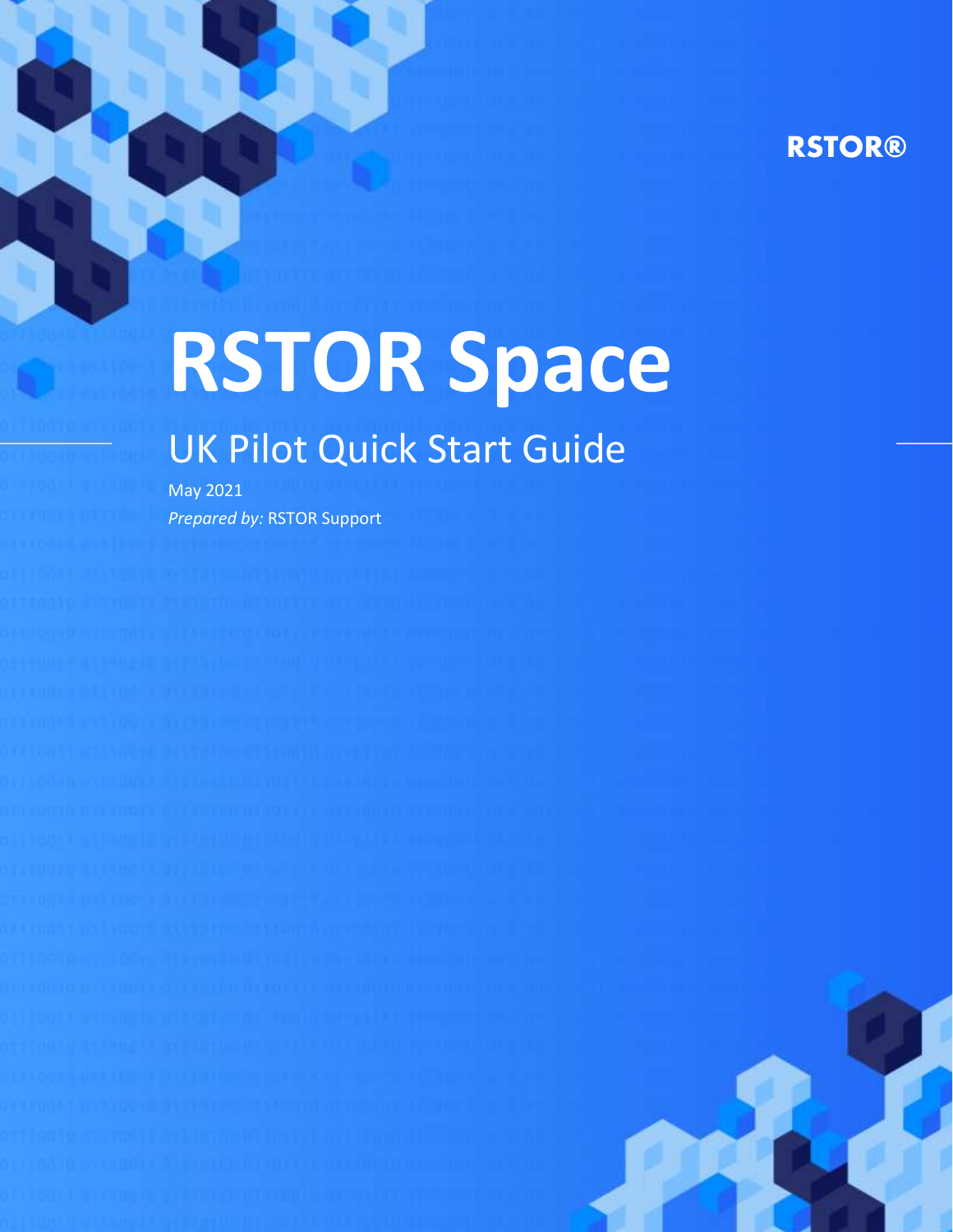# **RSTOR®**

# **RSTOR Space**

# UK Pilot Quick Start Guide

May 2021 *Prepared by:* RSTOR Support

rstor.io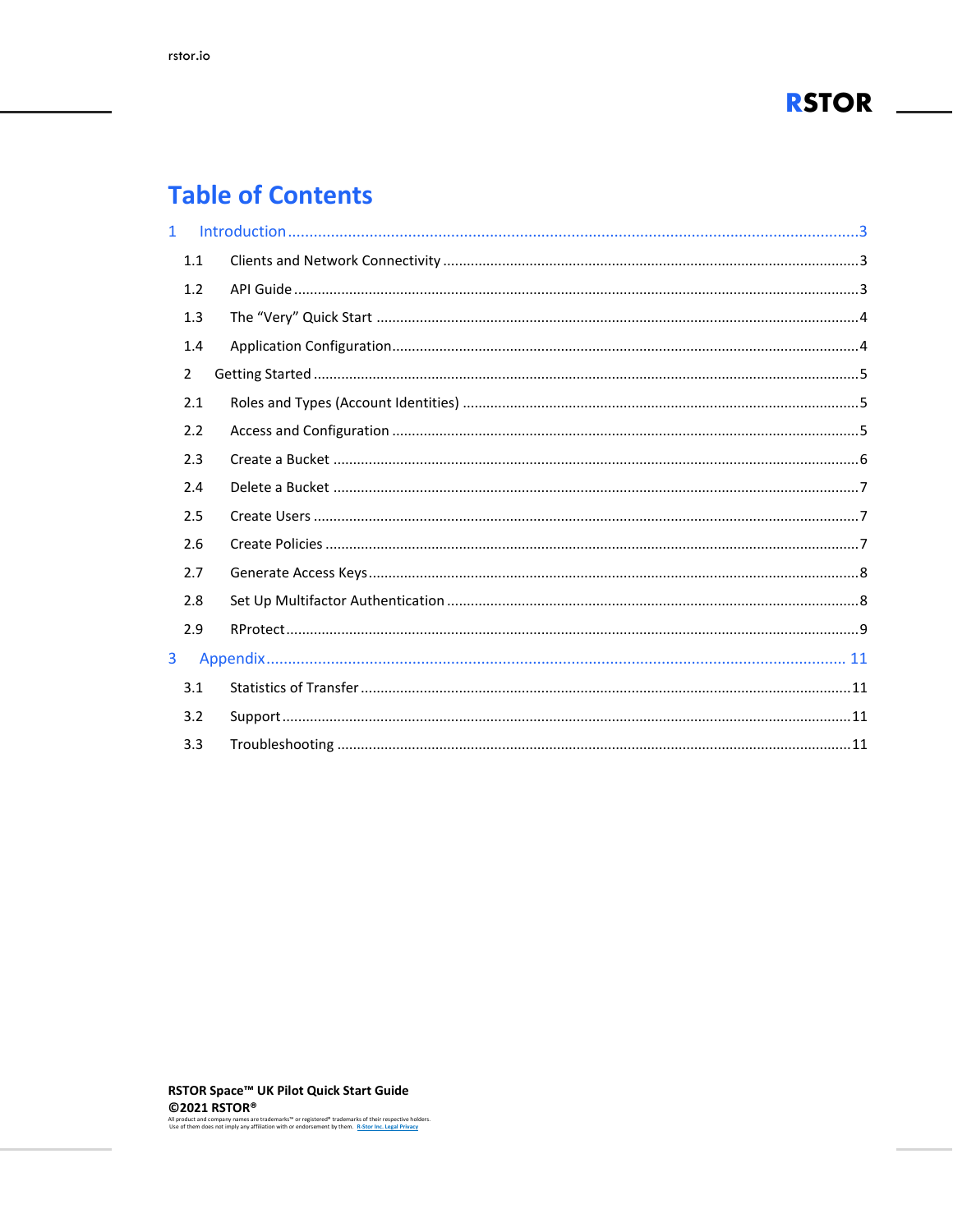

# **Table of Contents**

| $\mathbf{1}$ |               |  |
|--------------|---------------|--|
|              | 1.1           |  |
|              | 1.2           |  |
|              | 1.3           |  |
|              | 1.4           |  |
|              | $\mathcal{P}$ |  |
|              | 2.1           |  |
|              | 2.2           |  |
|              | 2.3           |  |
|              | 2.4           |  |
|              | 2.5           |  |
|              | 2.6           |  |
|              | 2.7           |  |
|              | 2.8           |  |
|              | 2.9           |  |
| 3            |               |  |
|              | 3.1           |  |
|              | 3.2           |  |
|              | 3.3           |  |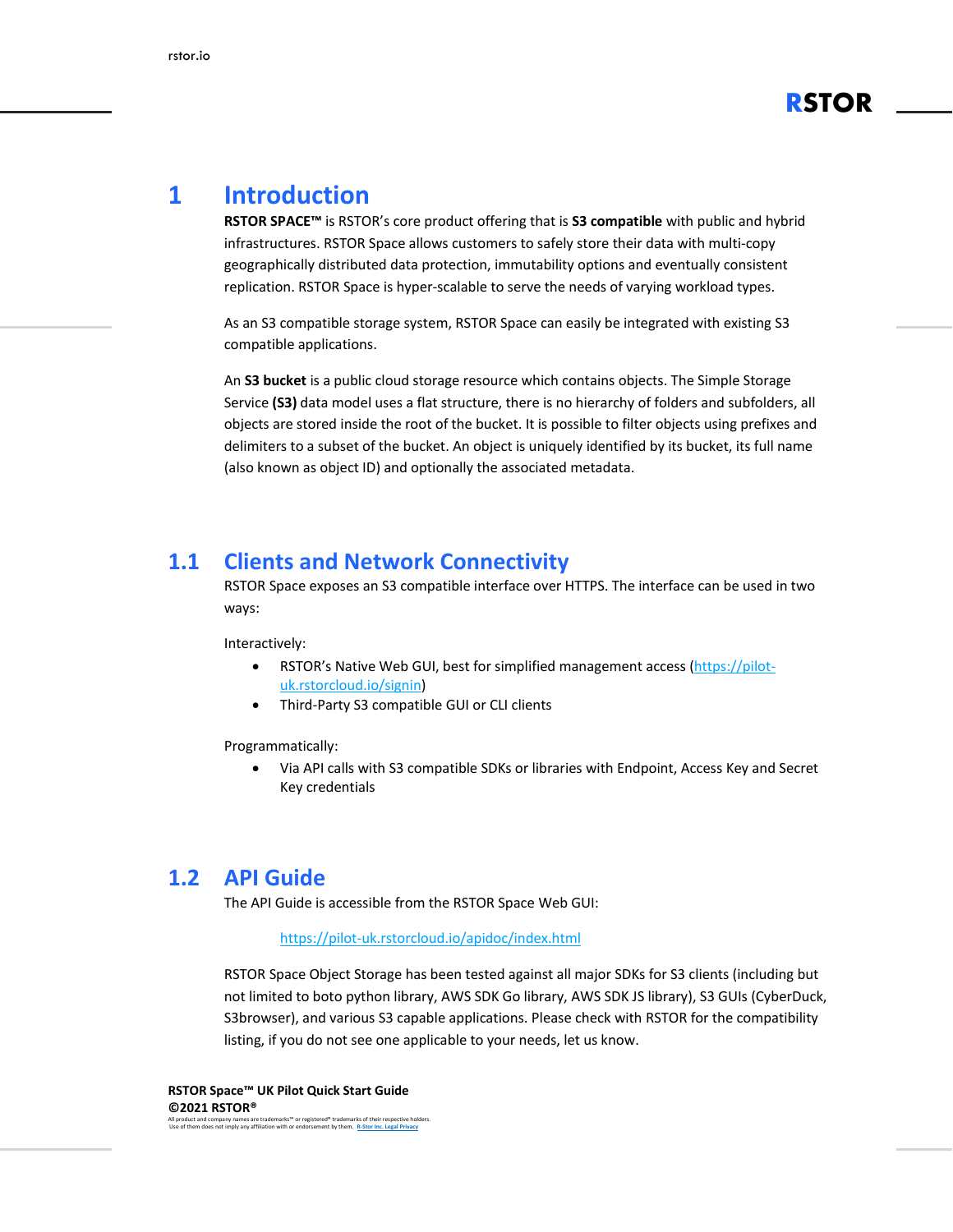

## <span id="page-2-0"></span>**1 Introduction**

**RSTOR SPACE™** is RSTOR's core product offering that is **S3 compatible** with public and hybrid infrastructures. RSTOR Space allows customers to safely store their data with multi-copy geographically distributed data protection, immutability options and eventually consistent replication. RSTOR Space is hyper-scalable to serve the needs of varying workload types.

As an S3 compatible storage system, RSTOR Space can easily be integrated with existing S3 compatible applications.

An **S3 bucket** is a public cloud storage resource which contains objects. The Simple Storage Service **(S3)** data model uses a flat structure, there is no hierarchy of folders and subfolders, all objects are stored inside the root of the bucket. It is possible to filter objects using prefixes and delimiters to a subset of the bucket. An object is uniquely identified by its bucket, its full name (also known as object ID) and optionally the associated metadata.

#### <span id="page-2-1"></span>**1.1 Clients and Network Connectivity**

RSTOR Space exposes an S3 compatible interface over HTTPS. The interface can be used in two ways:

Interactively:

- RSTOR's Native Web GUI, best for simplified management access [\(https://pilot](https://pilot-uk.rstorcloud.io/signin)[uk.rstorcloud.io/signin\)](https://pilot-uk.rstorcloud.io/signin)
- Third-Party S3 compatible GUI or CLI clients

Programmatically:

• Via API calls with S3 compatible SDKs or libraries with Endpoint, Access Key and Secret Key credentials

#### <span id="page-2-2"></span>**1.2 API Guide**

The API Guide is accessible from the RSTOR Space Web GUI:

#### <https://pilot-uk.rstorcloud.io/apidoc/index.html>

RSTOR Space Object Storage has been tested against all major SDKs for S3 clients (including but not limited to boto python library, AWS SDK Go library, AWS SDK JS library), S3 GUIs (CyberDuck, S3browser), and various S3 capable applications. Please check with RSTOR for the compatibility listing, if you do not see one applicable to your needs, let us know.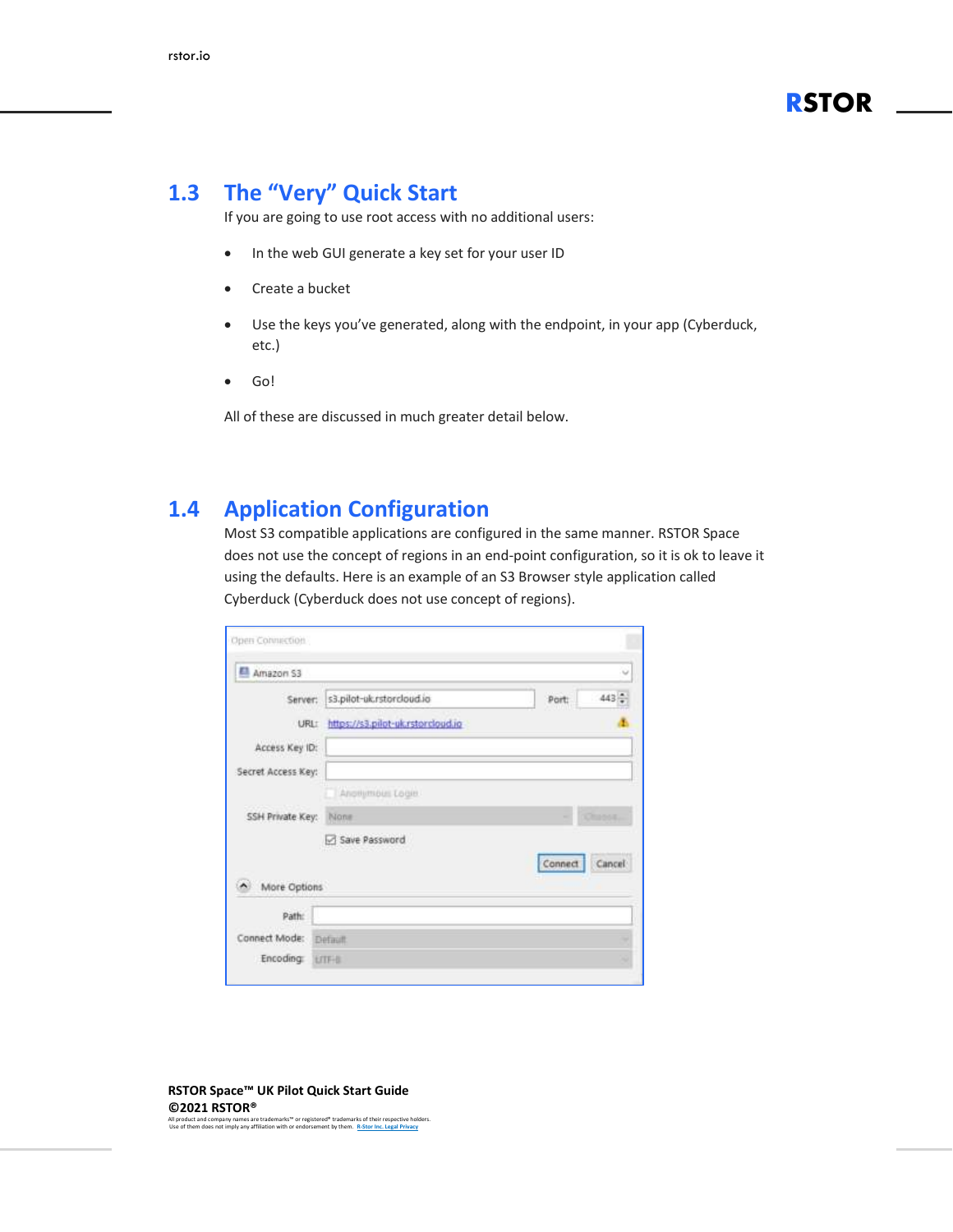#### <span id="page-3-0"></span>**1.3 The "Very" Quick Start**

If you are going to use root access with no additional users:

- In the web GUI generate a key set for your user ID
- Create a bucket
- Use the keys you've generated, along with the endpoint, in your app (Cyberduck, etc.)
- Go!

All of these are discussed in much greater detail below.

#### <span id="page-3-1"></span>**1.4 Application Configuration**

Most S3 compatible applications are configured in the same manner. RSTOR Space does not use the concept of regions in an end-point configuration, so it is ok to leave it using the defaults. Here is an example of an S3 Browser style application called Cyberduck (Cyberduck does not use concept of regions).

| Amazon S3          |                                   |         | $\omega$      |
|--------------------|-----------------------------------|---------|---------------|
| Server:            | s3.pilot-uk.rstorcloud.io         | Port    | $443 -$       |
| URL:               | https://s3.pilot-uk.rstorcloud.io |         |               |
| Access Key ID:     |                                   |         |               |
| Secret Access Key: |                                   |         |               |
|                    | Anonymous Login                   |         |               |
| SSH Private Key:   | None                              | ۰       | <b>Chapos</b> |
|                    | Save Password                     |         |               |
|                    |                                   | Connect | Cancel        |
| More Options       |                                   |         |               |
| Path:              |                                   |         |               |
| Connect Mode:      | Definit                           |         |               |
| <b>Encoding:</b>   | <b>LITF-B</b>                     |         |               |

**RSTOR Space™ UK Pilot Quick Start Guide ©2021 RSTOR®** 

All product and company names are trademarks™ or registered® trademarks of their respective holders. Use of them does not imply any affiliation with or endorsement by them. **[R-Stor Inc. Legal Privacy](https://www.rstor.io/legal-privacy/)**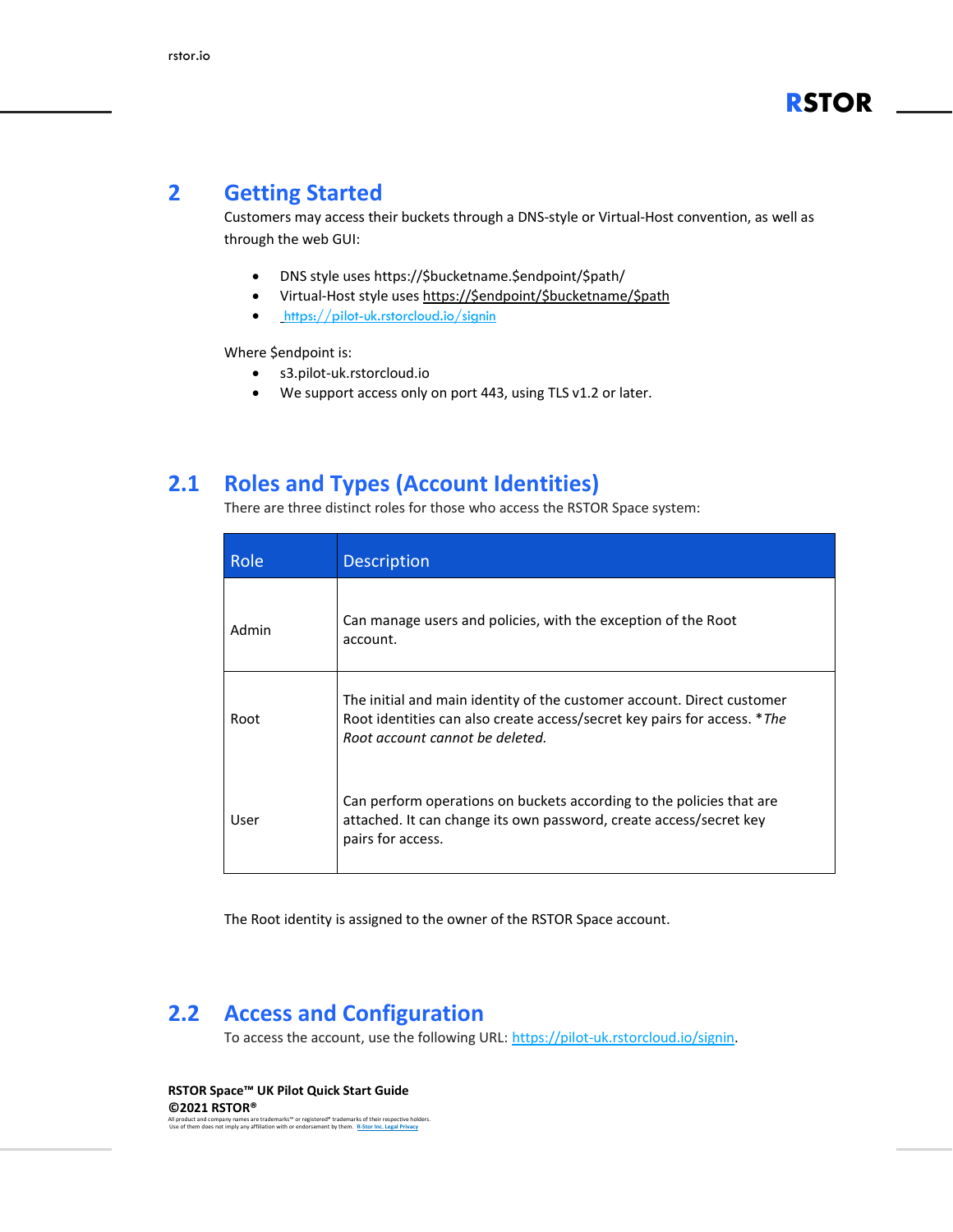#### <span id="page-4-0"></span>**2 Getting Started**

Customers may access their buckets through a DNS-style or Virtual-Host convention, as well as through the web GUI:

- DNS style uses https://\$bucketname.\$endpoint/\$path/
- Virtual-Host style uses [https://\\$endpoint/\\$bucketname/\\$path](https://$endpoint/$bucketname/$path)
- <https://pilot-uk.rstorcloud.io/signin>

Where \$endpoint is:

- s3.pilot-uk.rstorcloud.io
- We support access only on port 443, using TLS v1.2 or later.

#### <span id="page-4-1"></span>**2.1 Roles and Types (Account Identities)**

There are three distinct roles for those who access the RSTOR Space system:

| Role  | <b>Description</b>                                                                                                                                                                    |
|-------|---------------------------------------------------------------------------------------------------------------------------------------------------------------------------------------|
| Admin | Can manage users and policies, with the exception of the Root<br>account.                                                                                                             |
| Root  | The initial and main identity of the customer account. Direct customer<br>Root identities can also create access/secret key pairs for access. *The<br>Root account cannot be deleted. |
| User  | Can perform operations on buckets according to the policies that are<br>attached. It can change its own password, create access/secret key<br>pairs for access.                       |

The Root identity is assigned to the owner of the RSTOR Space account.

#### <span id="page-4-2"></span>**2.2 Access and Configuration**

To access the account, use the following URL: [https://pilot-uk.rstorcloud.io/signin.](https://pilot-uk.rstorcloud.io/signin)

**RSTOR Space™ UK Pilot Quick Start Guide ©2021 RSTOR®**  All product and company names are trademarks™ or registered® trademarks of their respective holders. Use of them does not imply any affiliation with or endorsement by them. **[R-Stor Inc. Legal Privacy](https://www.rstor.io/legal-privacy/)**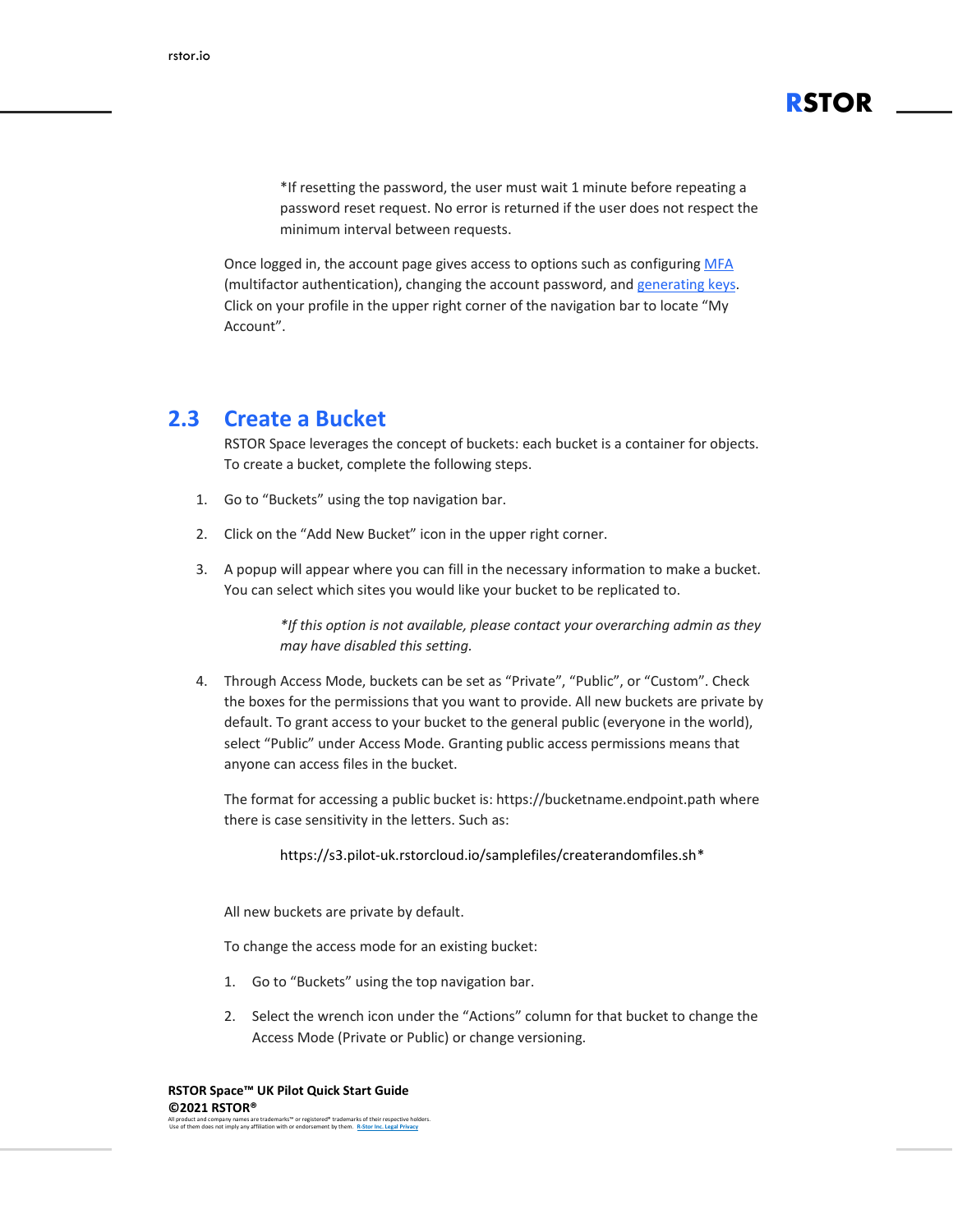\*If resetting the password, the user must wait 1 minute before repeating a password reset request. No error is returned if the user does not respect the minimum interval between requests.

**RSTOR**

Once logged in, the account page gives access to options such as configuring [MFA](#page-7-2) (multifactor [authentication\),](#page-7-2) changing the account password, and [generating](#page-7-0) keys. Click on your profile in the upper right corner of the navigation bar to locate "My Account".

#### <span id="page-5-0"></span>**2.3 Create a Bucket**

RSTOR Space leverages the concept of buckets: each bucket is a container for objects. To create a bucket, complete the following steps.

- 1. Go to "Buckets" using the top navigation bar.
- 2. Click on the "Add New Bucket" icon in the upper right corner.
- 3. A popup will appear where you can fill in the necessary information to make a bucket. You can select which sites you would like your bucket to be replicated to.

*\*If this option is not available, please contact your overarching admin as they may have disabled this setting.*

4. Through Access Mode, buckets can be set as "Private", "Public", or "Custom". Check the boxes for the permissions that you want to provide. All new buckets are private by default. To grant access to your bucket to the general public (everyone in the world), select "Public" under Access Mode. Granting public access permissions means that anyone can access files in the bucket.

The format for accessing a public bucket is: https://bucketname.endpoint.path where there is case sensitivity in the letters. Such as:

https://s3.pilot-uk.rstorcloud.io/samplefiles/createrandomfiles.sh\*

All new buckets are private by default.

To change the access mode for an existing bucket:

- 1. Go to "Buckets" using the top navigation bar.
- 2. Select the wrench icon under the "Actions" column for that bucket to change the Access Mode (Private or Public) or change versioning.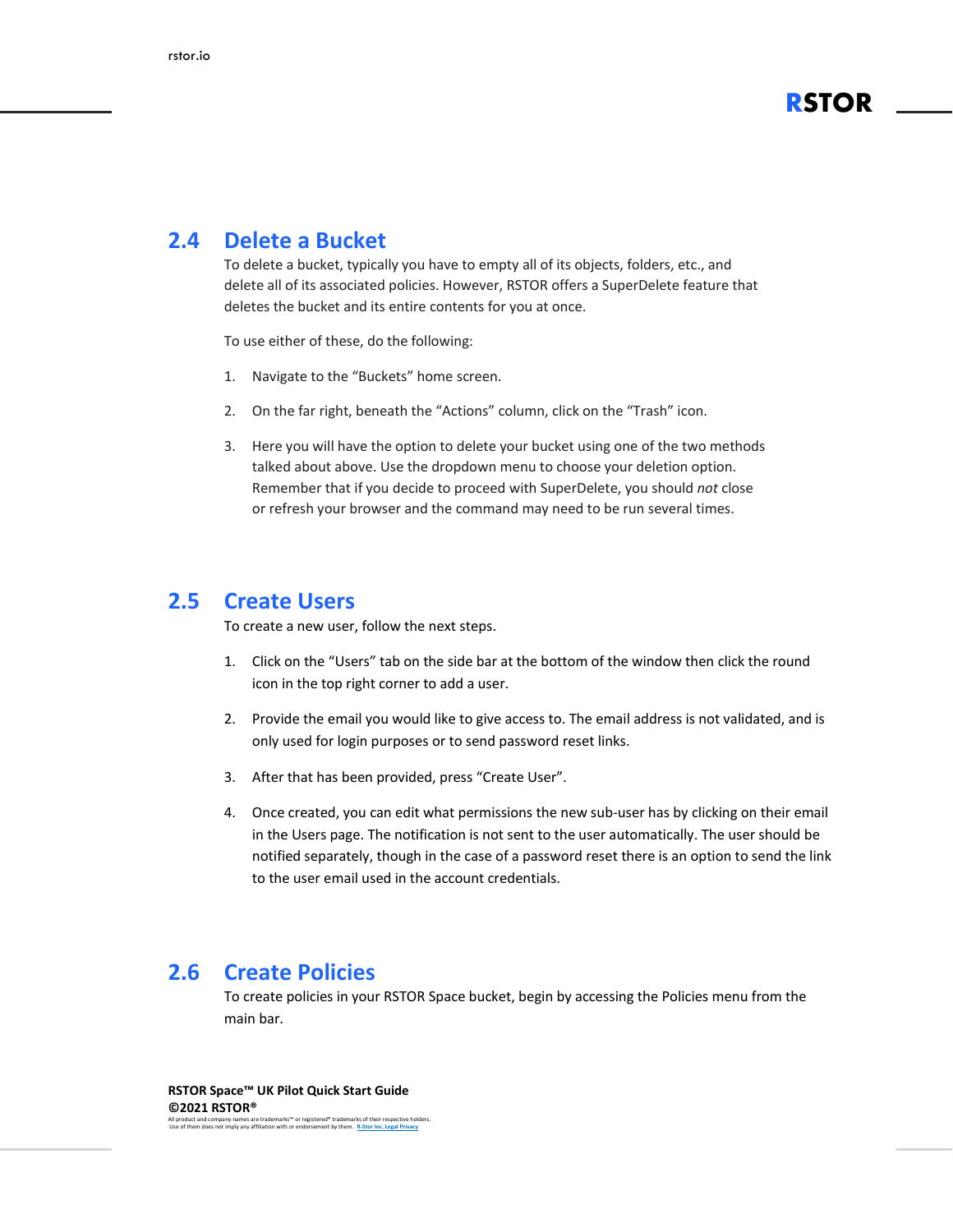

#### <span id="page-6-0"></span>**2.4 Delete a Bucket**

To delete a bucket, typically you have to empty all of its objects, folders, etc., and delete all of its associated policies. However, RSTOR offers a SuperDelete feature that deletes the bucket and its entire contents for you at once.

To use either of these, do the following:

- 1. Navigate to the "Buckets" home screen.
- 2. On the far right, beneath the "Actions" column, click on the "Trash" icon.
- 3. Here you will have the option to delete your bucket using one of the two methods talked about above. Use the dropdown menu to choose your deletion option. Remember that if you decide to proceed with SuperDelete, you should *not* close or refresh your browser and the command may need to be run several times.

#### <span id="page-6-1"></span>**2.5 Create Users**

To create a new user, follow the next steps.

- 1. Click on the "Users" tab on the side bar at the bottom of the window then click the round icon in the top right corner to add a user.
- 2. Provide the email you would like to give access to. The email address is not validated, and is only used for login purposes or to send password reset links.
- 3. After that has been provided, press "Create User".
- 4. Once created, you can edit what permissions the new sub-user has by clicking on their email in the Users page. The notification is not sent to the user automatically. The user should be notified separately, though in the case of a password reset there is an option to send the link to the user email used in the account credentials.

#### <span id="page-6-2"></span>**2.6 Create Policies**

To create policies in your RSTOR Space bucket, begin by accessing the Policies menu from the main bar.

**RSTOR Space™ UK Pilot Quick Start Guide ©2021 RSTOR®**  All product and company names are trademarks™ or registered® trademarks of their respective holders. Use of them does not imply any affiliation with or endorsement by them. **[R-Stor Inc. Legal Privacy](https://www.rstor.io/legal-privacy/)**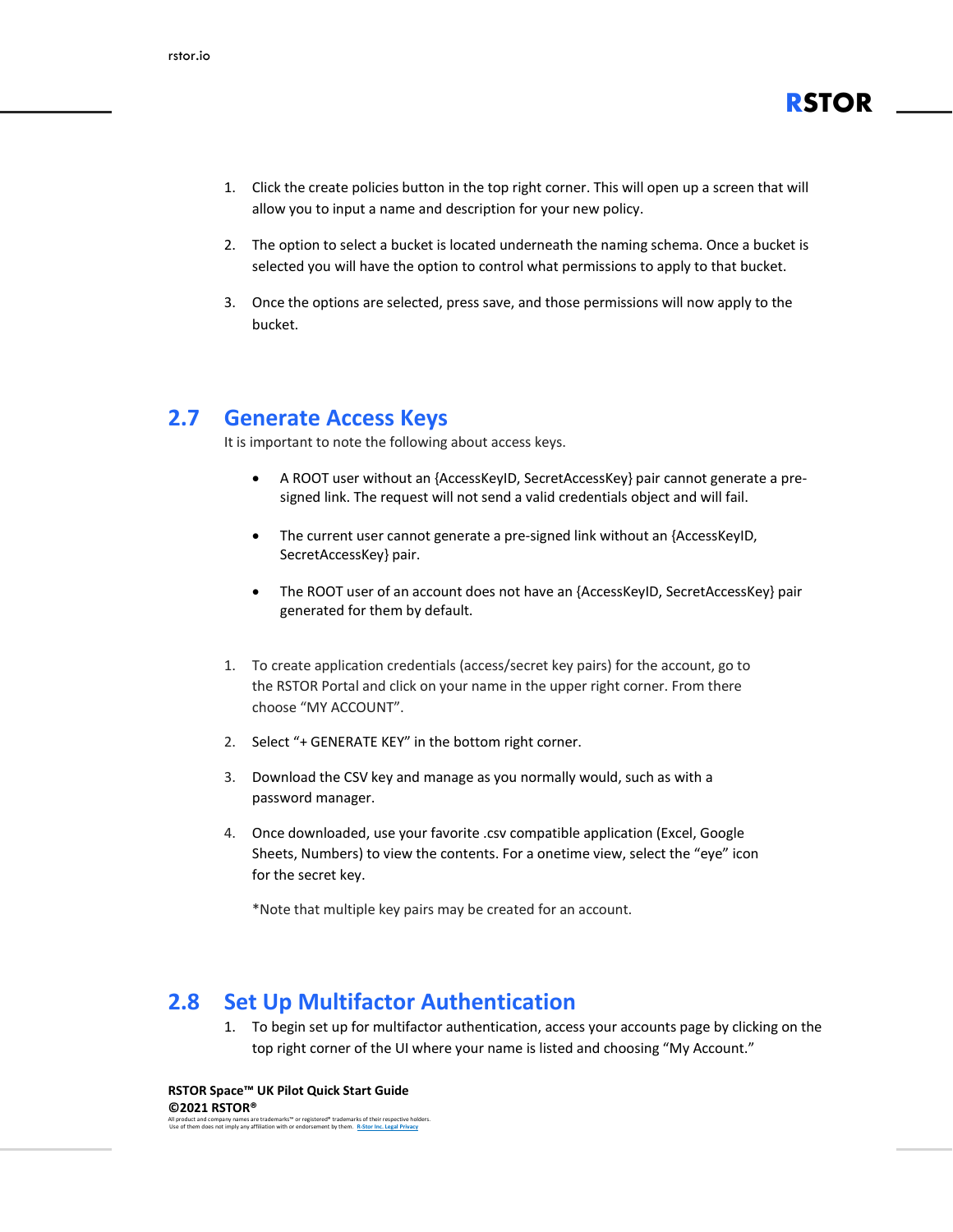

- 1. Click the create policies button in the top right corner. This will open up a screen that will allow you to input a name and description for your new policy.
- 2. The option to select a bucket is located underneath the naming schema. Once a bucket is selected you will have the option to control what permissions to apply to that bucket.
- 3. Once the options are selected, press save, and those permissions will now apply to the bucket.

#### <span id="page-7-0"></span>**2.7 Generate Access Keys**

It is important to note the following about access keys.

- A ROOT user without an {AccessKeyID, SecretAccessKey} pair cannot generate a presigned link. The request will not send a valid credentials object and will fail.
- The current user cannot generate a pre-signed link without an {AccessKeyID, SecretAccessKey} pair.
- The ROOT user of an account does not have an {AccessKeyID, SecretAccessKey} pair generated for them by default.
- 1. To create application credentials (access/secret key pairs) for the account, go to the RSTOR Portal and click on your name in the upper right corner. From there choose "MY ACCOUNT".
- 2. Select "+ GENERATE KEY" in the bottom right corner.
- 3. Download the CSV key and manage as you normally would, such as with a password manager.
- 4. Once downloaded, use your favorite .csv compatible application (Excel, Google Sheets, Numbers) to view the contents. For a onetime view, select the "eye" icon for the secret key.

\*Note that multiple key pairs may be created for an account.

#### <span id="page-7-1"></span>**2.8 Set Up Multifactor Authentication**

<span id="page-7-2"></span>1. To begin set up for multifactor authentication, access your accounts page by clicking on the top right corner of the UI where your name is listed and choosing "My Account."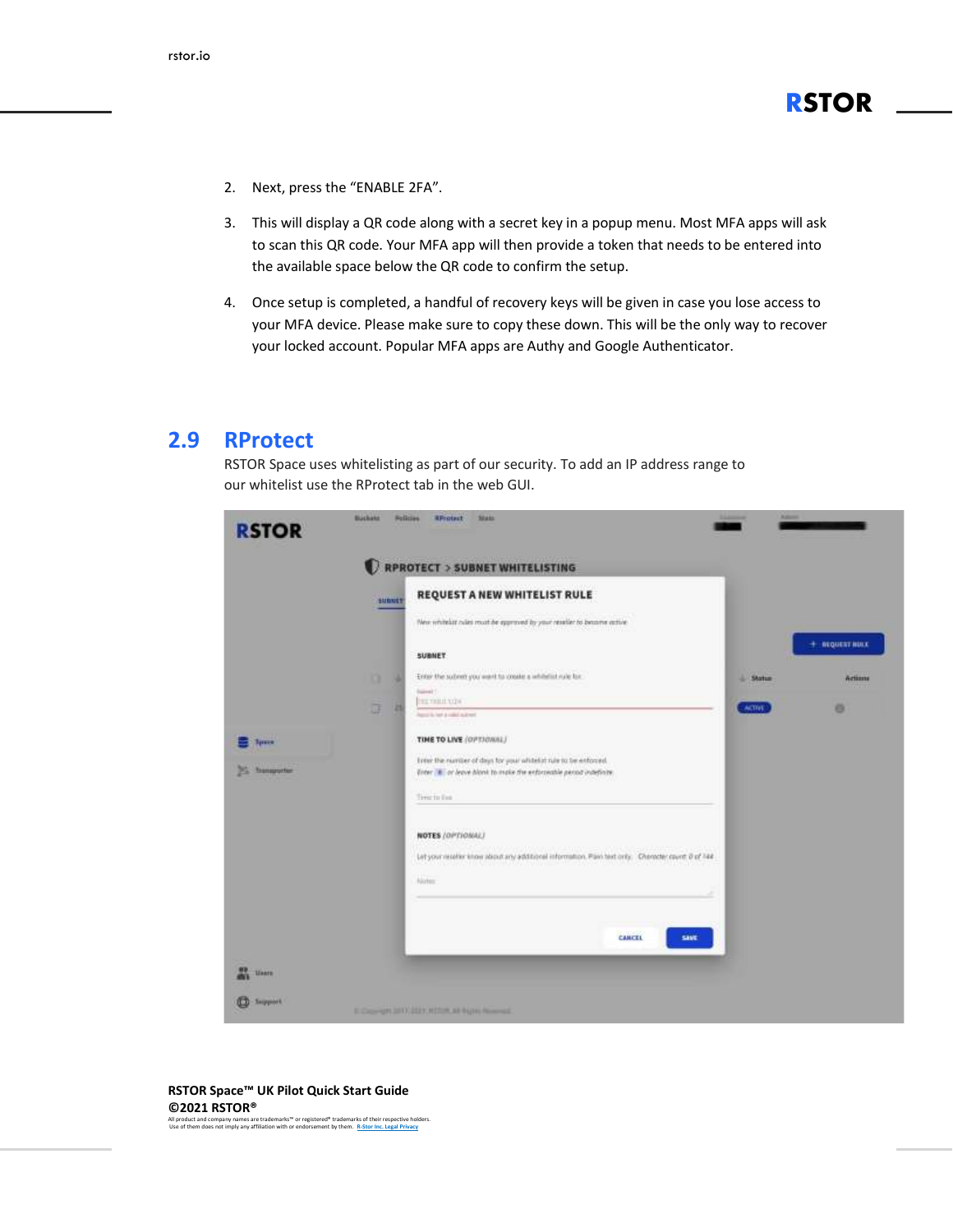- 2. Next, press the "ENABLE 2FA".
- 3. This will display a QR code along with a secret key in a popup menu. Most MFA apps will ask to scan this QR code. Your MFA app will then provide a token that needs to be entered into the available space below the QR code to confirm the setup.
- 4. Once setup is completed, a handful of recovery keys will be given in case you lose access to your MFA device. Please make sure to copy these down. This will be the only way to recover your locked account. Popular MFA apps are Authy and Google Authenticator.

#### <span id="page-8-0"></span>**2.9 RProtect**

RSTOR Space uses whitelisting as part of our security. To add an IP address range to our whitelist use the RProtect tab in the web GUI.

|                    |               | RPROTECT > SUBNET WHITELISTING                                                                                                         |               |                         |
|--------------------|---------------|----------------------------------------------------------------------------------------------------------------------------------------|---------------|-------------------------|
|                    | <b>SUNNEY</b> | REQUEST A NEW WHITELIST RULE                                                                                                           |               |                         |
|                    |               | New whitelast rules must be expressed by your resulter to become active<br><b>STATISTICS</b>                                           |               |                         |
|                    |               | SUBNET                                                                                                                                 |               | $+$ <b>NEQUEST NULL</b> |
|                    | o<br>u        | Enter the subret you want to create a whitefail rule for<br><b>Gallery</b> ET                                                          | <b>Shatum</b> | Actions                 |
|                    | D<br>и        | TEL TERRITORY<br>Application and subject                                                                                               | <b>ACTIVE</b> | ö                       |
| <b>System</b>      |               | TIME TO LIVE (OPTIONAL)                                                                                                                |               |                         |
| <b>Transporter</b> |               | Enter the number of days for your whitelist nile to be enforced.<br>Enter 18 or leave himit to make the enforceable period indefinite. |               |                         |
|                    |               | Time to live                                                                                                                           |               |                         |
|                    |               | NOTES (OPTIONAL)                                                                                                                       |               |                         |
|                    |               | Let your reseller know about any additional information. Plan text only. Cherocter count 8 of 144.<br>an ing kabupatèn Kabupatèn I     |               |                         |
|                    |               | Norm                                                                                                                                   |               |                         |
|                    |               |                                                                                                                                        |               |                         |
|                    |               | CANCEL<br><b>SAVE</b>                                                                                                                  |               |                         |
| <b>Usars</b>       |               |                                                                                                                                        |               |                         |

#### **RSTOR Space™ UK Pilot Quick Start Guide ©2021 RSTOR®**

All product and company names are trademarks™ or registered® trademarks of their respective holders. Use of them does not imply any affiliation with or endorsement by them. **[R-Stor Inc. Legal Privacy](https://www.rstor.io/legal-privacy/)**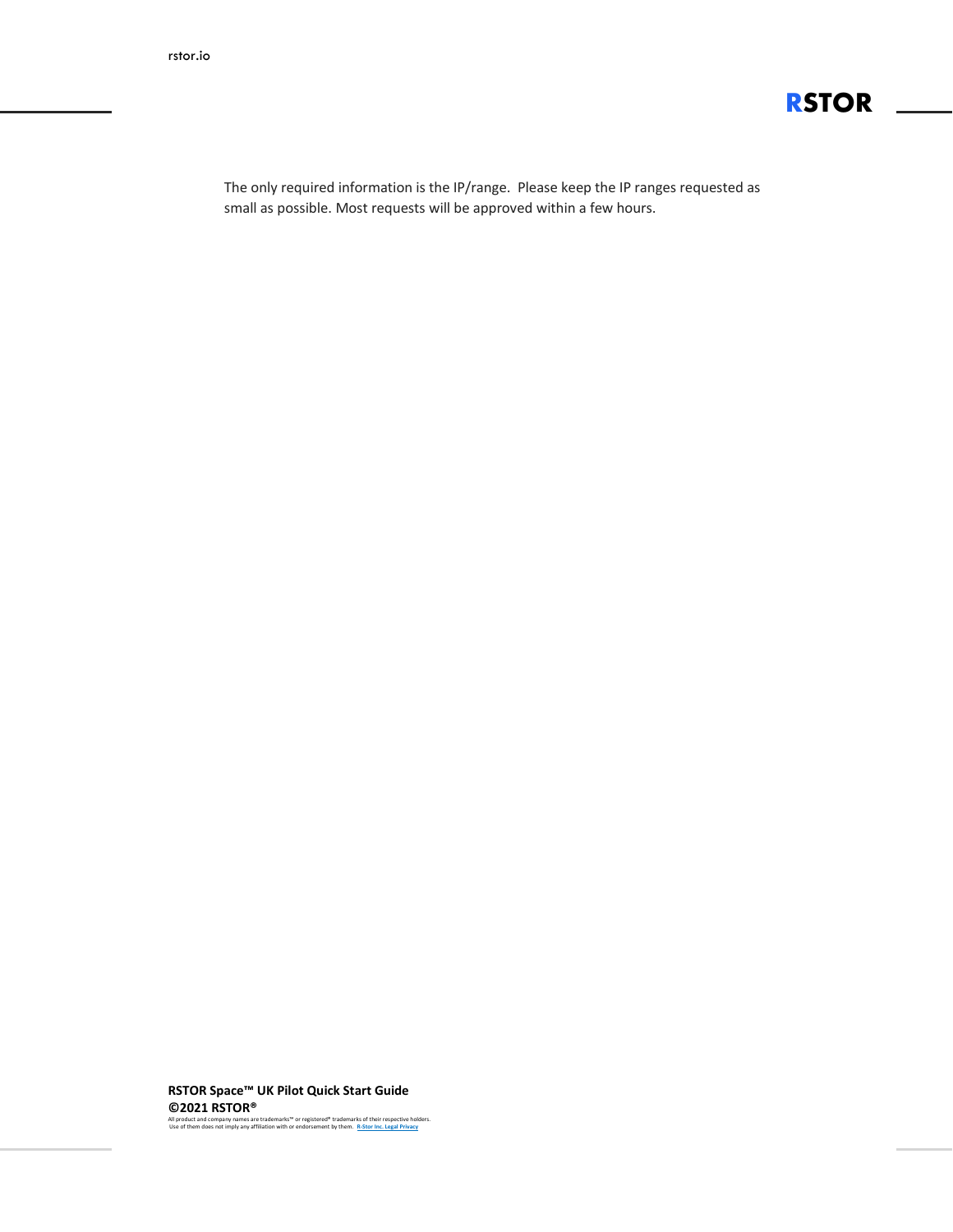

The only required information is the IP/range. Please keep the IP ranges requested as small as possible. Most requests will be approved within a few hours.

**RSTOR Space™ UK Pilot Quick Start Guide ©2021 RSTOR®** 

All product and company names are trademarks™ or registered® trademarks of their respective holders. Use of them does not imply any affiliation with or endorsement by them. **[R-Stor Inc. Legal Privacy](https://www.rstor.io/legal-privacy/)**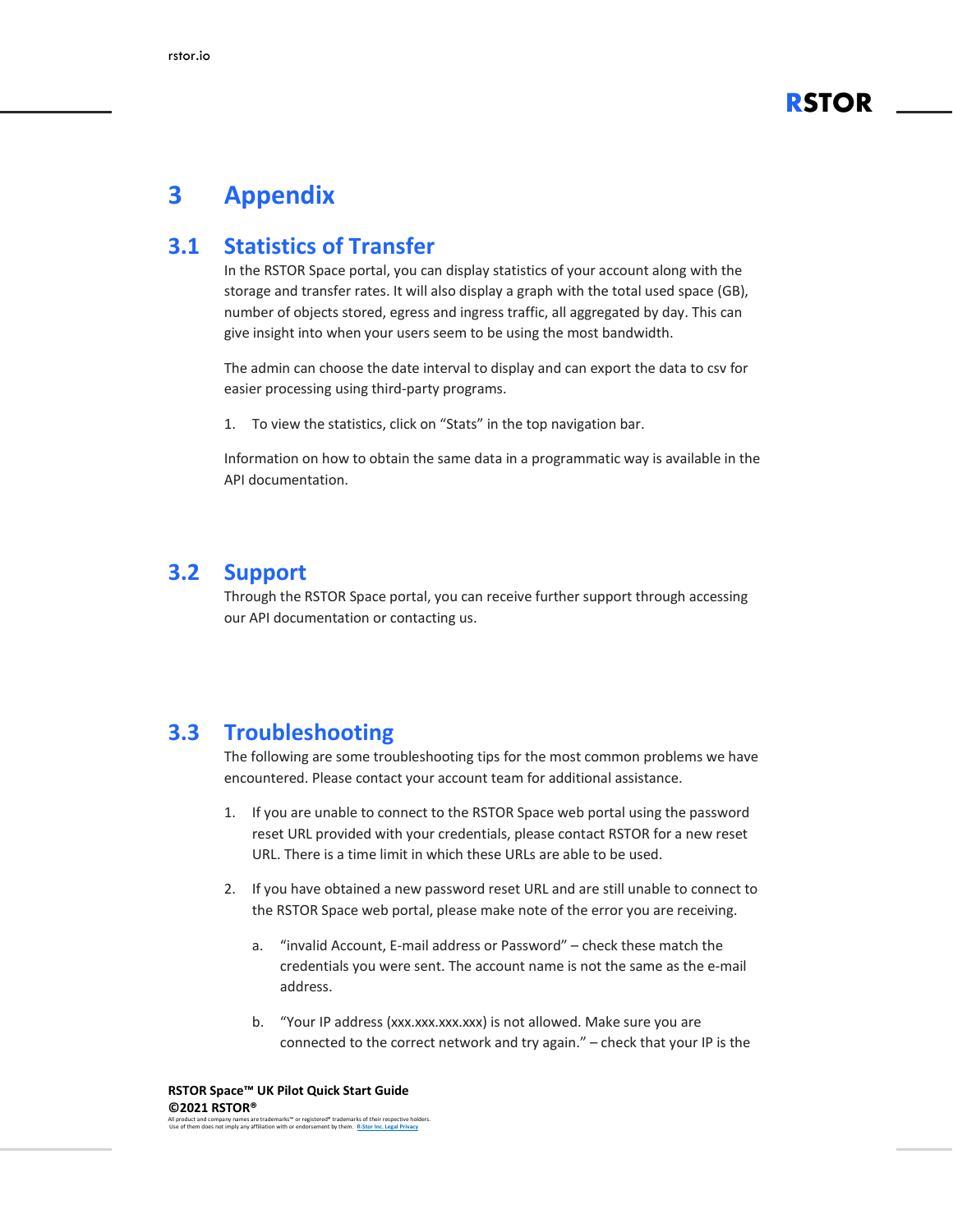

### <span id="page-10-0"></span>**3 Appendix**

#### <span id="page-10-1"></span>**3.1 Statistics of Transfer**

In the RSTOR Space portal, you can display statistics of your account along with the storage and transfer rates. It will also display a graph with the total used space (GB), number of objects stored, egress and ingress traffic, all aggregated by day. This can give insight into when your users seem to be using the most bandwidth.

The admin can choose the date interval to display and can export the data to csv for easier processing using third-party programs.

1. To view the statistics, click on "Stats" in the top navigation bar.

Information on how to obtain the same data in a programmatic way is available in the API documentation.

#### <span id="page-10-2"></span>**3.2 Support**

Through the RSTOR Space portal, you can receive further support through accessing our API documentation or contacting us.

#### <span id="page-10-3"></span>**3.3 Troubleshooting**

The following are some troubleshooting tips for the most common problems we have encountered. Please contact your account team for additional assistance.

- 1. If you are unable to connect to the RSTOR Space web portal using the password reset URL provided with your credentials, please contact RSTOR for a new reset URL. There is a time limit in which these URLs are able to be used.
- 2. If you have obtained a new password reset URL and are still unable to connect to the RSTOR Space web portal, please make note of the error you are receiving.
	- a. "invalid Account, E-mail address or Password" check these match the credentials you were sent. The account name is not the same as the e-mail address.
	- b. "Your IP address (xxx.xxx.xxx.xxx) is not allowed. Make sure you are connected to the correct network and try again." – check that your IP is the